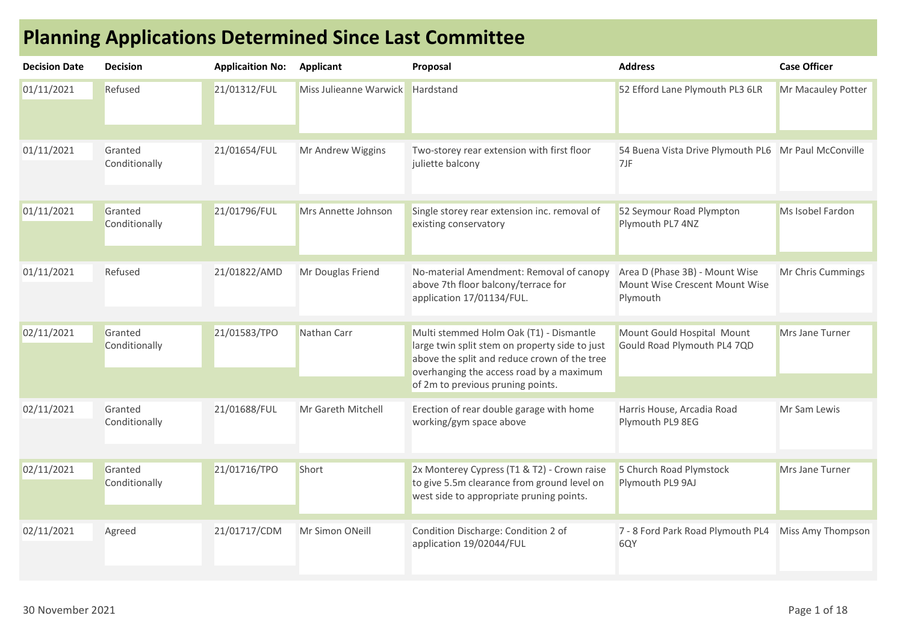| <b>Decision Date</b> | <b>Decision</b>          | <b>Applicaition No:</b> | Applicant              | Proposal                                                                                                                                                                              | <b>Address</b>                                                               | <b>Case Officer</b>    |
|----------------------|--------------------------|-------------------------|------------------------|---------------------------------------------------------------------------------------------------------------------------------------------------------------------------------------|------------------------------------------------------------------------------|------------------------|
| 01/11/2021           | Refused                  | 21/01312/FUL            | Miss Julieanne Warwick | Hardstand                                                                                                                                                                             | 52 Efford Lane Plymouth PL3 6LR                                              | Mr Macauley Potter     |
| 01/11/2021           | Granted<br>Conditionally | 21/01654/FUL            | Mr Andrew Wiggins      | Two-storey rear extension with first floor<br>juliette balcony                                                                                                                        | 54 Buena Vista Drive Plymouth PL6 Mr Paul McConville<br>7JF                  |                        |
| 01/11/2021           | Granted<br>Conditionally | 21/01796/FUL            | Mrs Annette Johnson    | Single storey rear extension inc. removal of<br>existing conservatory                                                                                                                 | 52 Seymour Road Plympton<br>Plymouth PL7 4NZ                                 | Ms Isobel Fardon       |
| 01/11/2021           | Refused                  | 21/01822/AMD            | Mr Douglas Friend      | No-material Amendment: Removal of canopy<br>above 7th floor balcony/terrace for<br>application 17/01134/FUL.                                                                          | Area D (Phase 3B) - Mount Wise<br>Mount Wise Crescent Mount Wise<br>Plymouth | Mr Chris Cummings      |
| 02/11/2021           | Granted<br>Conditionally | 21/01583/TPO            | Nathan Carr            | Multi stemmed Holm Oak (T1) - Dismantle<br>large twin split stem on property side to just<br>above the split and reduce crown of the tree<br>overhanging the access road by a maximum | Mount Gould Hospital Mount<br>Gould Road Plymouth PL4 7QD                    | <b>Mrs Jane Turner</b> |
|                      |                          |                         |                        | of 2m to previous pruning points.                                                                                                                                                     |                                                                              |                        |
| 02/11/2021           | Granted<br>Conditionally | 21/01688/FUL            | Mr Gareth Mitchell     | Erection of rear double garage with home<br>working/gym space above                                                                                                                   | Harris House, Arcadia Road<br>Plymouth PL9 8EG                               | Mr Sam Lewis           |
|                      |                          |                         |                        |                                                                                                                                                                                       |                                                                              |                        |
| 02/11/2021           | Granted<br>Conditionally | 21/01716/TPO            | Short                  | 2x Monterey Cypress (T1 & T2) - Crown raise<br>to give 5.5m clearance from ground level on<br>west side to appropriate pruning points.                                                | 5 Church Road Plymstock<br>Plymouth PL9 9AJ                                  | <b>Mrs Jane Turner</b> |
| 02/11/2021           | Agreed                   | 21/01717/CDM            | Mr Simon ONeill        | Condition Discharge: Condition 2 of<br>application 19/02044/FUL                                                                                                                       | 7 - 8 Ford Park Road Plymouth PL4<br>6QY                                     | Miss Amy Thompson      |

## Planning Applications Determined Since Last Committee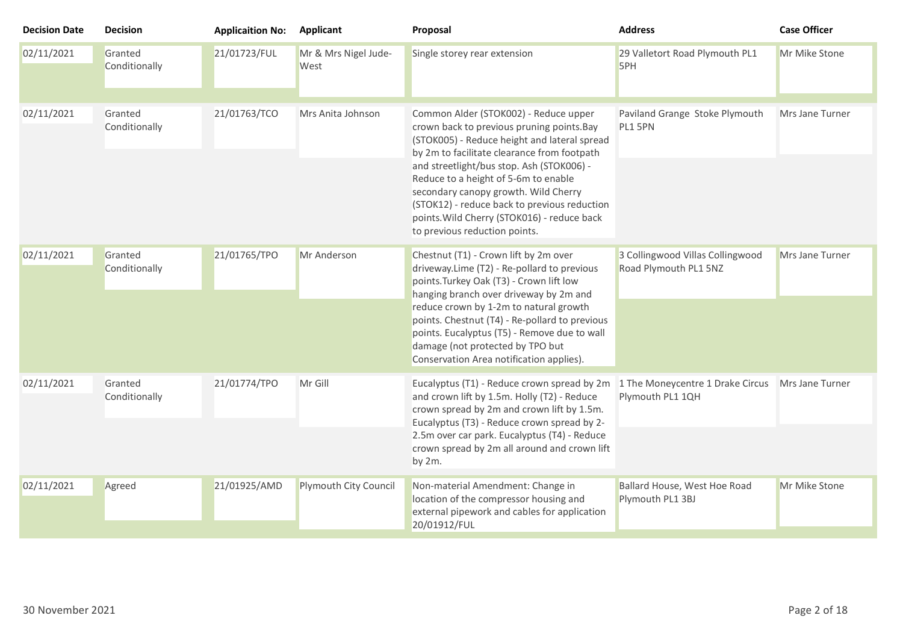| <b>Decision Date</b> | <b>Decision</b>          | <b>Applicaition No:</b> | <b>Applicant</b>             | Proposal                                                                                                                                                                                                                                                                                                                                                                                                                                        | <b>Address</b>                                            | <b>Case Officer</b>    |
|----------------------|--------------------------|-------------------------|------------------------------|-------------------------------------------------------------------------------------------------------------------------------------------------------------------------------------------------------------------------------------------------------------------------------------------------------------------------------------------------------------------------------------------------------------------------------------------------|-----------------------------------------------------------|------------------------|
| 02/11/2021           | Granted<br>Conditionally | 21/01723/FUL            | Mr & Mrs Nigel Jude-<br>West | Single storey rear extension                                                                                                                                                                                                                                                                                                                                                                                                                    | 29 Valletort Road Plymouth PL1<br>5PH                     | Mr Mike Stone          |
| 02/11/2021           | Granted<br>Conditionally | 21/01763/TCO            | Mrs Anita Johnson            | Common Alder (STOK002) - Reduce upper<br>crown back to previous pruning points. Bay<br>(STOK005) - Reduce height and lateral spread<br>by 2m to facilitate clearance from footpath<br>and streetlight/bus stop. Ash (STOK006) -<br>Reduce to a height of 5-6m to enable<br>secondary canopy growth. Wild Cherry<br>(STOK12) - reduce back to previous reduction<br>points. Wild Cherry (STOK016) - reduce back<br>to previous reduction points. | Paviland Grange Stoke Plymouth<br>PL1 5PN                 | Mrs Jane Turner        |
| 02/11/2021           | Granted<br>Conditionally | 21/01765/TPO            | Mr Anderson                  | Chestnut (T1) - Crown lift by 2m over<br>driveway.Lime (T2) - Re-pollard to previous<br>points. Turkey Oak (T3) - Crown lift low<br>hanging branch over driveway by 2m and<br>reduce crown by 1-2m to natural growth<br>points. Chestnut (T4) - Re-pollard to previous<br>points. Eucalyptus (T5) - Remove due to wall<br>damage (not protected by TPO but<br>Conservation Area notification applies).                                          | 3 Collingwood Villas Collingwood<br>Road Plymouth PL1 5NZ | <b>Mrs Jane Turner</b> |
| 02/11/2021           | Granted<br>Conditionally | 21/01774/TPO            | Mr Gill                      | Eucalyptus (T1) - Reduce crown spread by 2m<br>and crown lift by 1.5m. Holly (T2) - Reduce<br>crown spread by 2m and crown lift by 1.5m.<br>Eucalyptus (T3) - Reduce crown spread by 2-<br>2.5m over car park. Eucalyptus (T4) - Reduce<br>crown spread by 2m all around and crown lift<br>by 2m.                                                                                                                                               | 1 The Moneycentre 1 Drake Circus<br>Plymouth PL1 1QH      | Mrs Jane Turner        |
| 02/11/2021           | Agreed                   | 21/01925/AMD            | Plymouth City Council        | Non-material Amendment: Change in<br>location of the compressor housing and<br>external pipework and cables for application<br>20/01912/FUL                                                                                                                                                                                                                                                                                                     | Ballard House, West Hoe Road<br>Plymouth PL1 3BJ          | Mr Mike Stone          |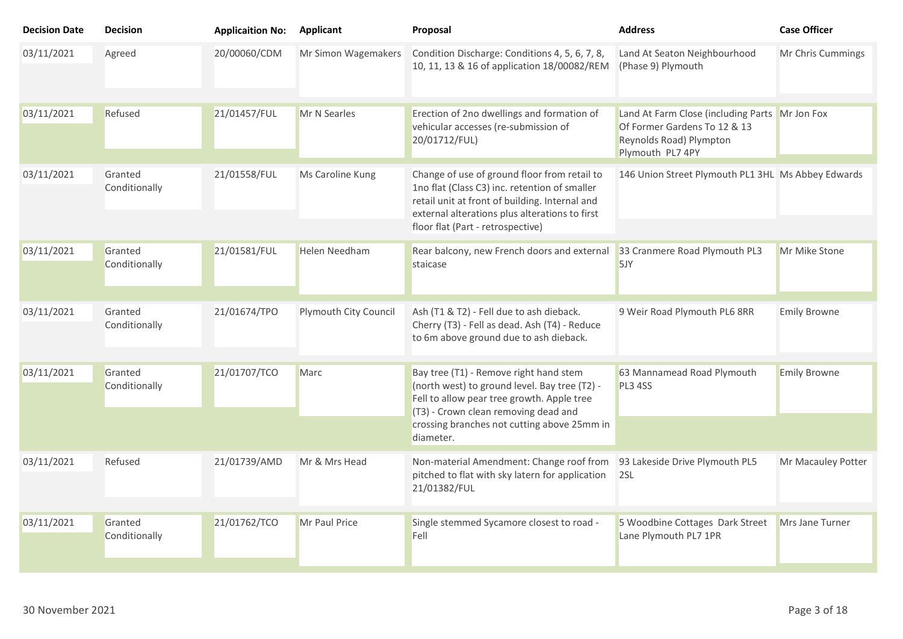| <b>Decision Date</b> | <b>Decision</b>          | <b>Applicaition No:</b> | <b>Applicant</b>      | Proposal                                                                                                                                                                                                                                  | <b>Address</b>                                                                                                                | <b>Case Officer</b> |
|----------------------|--------------------------|-------------------------|-----------------------|-------------------------------------------------------------------------------------------------------------------------------------------------------------------------------------------------------------------------------------------|-------------------------------------------------------------------------------------------------------------------------------|---------------------|
| 03/11/2021           | Agreed                   | 20/00060/CDM            | Mr Simon Wagemakers   | Condition Discharge: Conditions 4, 5, 6, 7, 8,<br>10, 11, 13 & 16 of application 18/00082/REM                                                                                                                                             | Land At Seaton Neighbourhood<br>(Phase 9) Plymouth                                                                            | Mr Chris Cummings   |
| 03/11/2021           | Refused                  | 21/01457/FUL            | Mr N Searles          | Erection of 2no dwellings and formation of<br>vehicular accesses (re-submission of<br>20/01712/FUL)                                                                                                                                       | Land At Farm Close (including Parts Mr Jon Fox<br>Of Former Gardens To 12 & 13<br>Reynolds Road) Plympton<br>Plymouth PL7 4PY |                     |
| 03/11/2021           | Granted<br>Conditionally | 21/01558/FUL            | Ms Caroline Kung      | Change of use of ground floor from retail to<br>1no flat (Class C3) inc. retention of smaller<br>retail unit at front of building. Internal and<br>external alterations plus alterations to first<br>floor flat (Part - retrospective)    | 146 Union Street Plymouth PL1 3HL Ms Abbey Edwards                                                                            |                     |
| 03/11/2021           | Granted<br>Conditionally | 21/01581/FUL            | Helen Needham         | Rear balcony, new French doors and external<br>staicase                                                                                                                                                                                   | 33 Cranmere Road Plymouth PL3<br>5JY                                                                                          | Mr Mike Stone       |
| 03/11/2021           | Granted<br>Conditionally | 21/01674/TPO            | Plymouth City Council | Ash (T1 & T2) - Fell due to ash dieback.<br>Cherry (T3) - Fell as dead. Ash (T4) - Reduce<br>to 6m above ground due to ash dieback.                                                                                                       | 9 Weir Road Plymouth PL6 8RR                                                                                                  | <b>Emily Browne</b> |
| 03/11/2021           | Granted<br>Conditionally | 21/01707/TCO            | <b>Marc</b>           | Bay tree (T1) - Remove right hand stem<br>(north west) to ground level. Bay tree (T2) -<br>Fell to allow pear tree growth. Apple tree<br>(T3) - Crown clean removing dead and<br>crossing branches not cutting above 25mm in<br>diameter. | 63 Mannamead Road Plymouth<br>PL3 4SS                                                                                         | <b>Emily Browne</b> |
| 03/11/2021           | Refused                  | 21/01739/AMD            | Mr & Mrs Head         | Non-material Amendment: Change roof from<br>pitched to flat with sky latern for application<br>21/01382/FUL                                                                                                                               | 93 Lakeside Drive Plymouth PL5<br>2SL                                                                                         | Mr Macauley Potter  |
| 03/11/2021           | Granted<br>Conditionally | 21/01762/TCO            | Mr Paul Price         | Single stemmed Sycamore closest to road -<br>Fell                                                                                                                                                                                         | 5 Woodbine Cottages Dark Street<br>Lane Plymouth PL7 1PR                                                                      | Mrs Jane Turner     |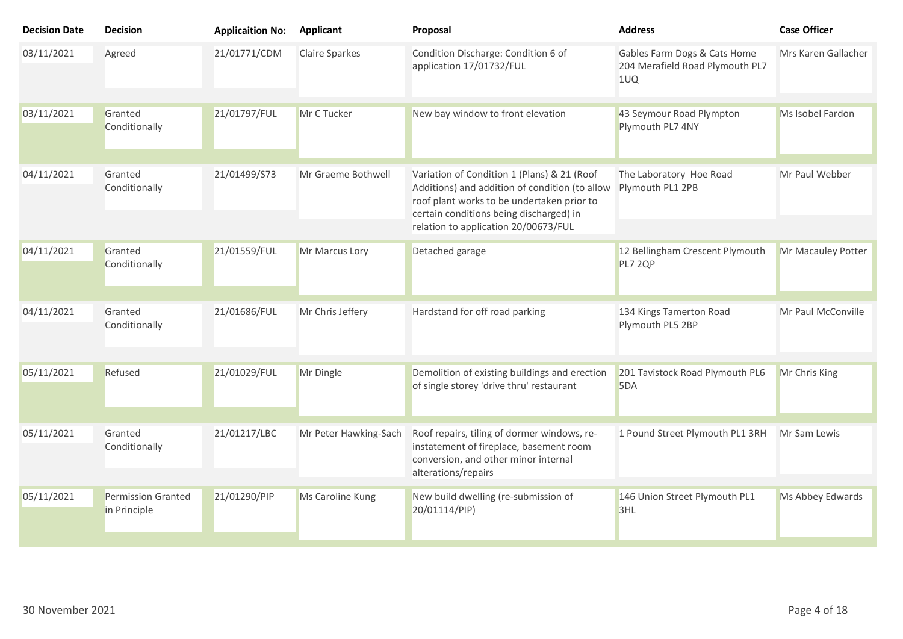| <b>Decision Date</b> | <b>Decision</b>                    | <b>Applicaition No:</b> | <b>Applicant</b>      | Proposal                                                                                                                                                                                                                       | <b>Address</b>                                                         | <b>Case Officer</b> |
|----------------------|------------------------------------|-------------------------|-----------------------|--------------------------------------------------------------------------------------------------------------------------------------------------------------------------------------------------------------------------------|------------------------------------------------------------------------|---------------------|
| 03/11/2021           | Agreed                             | 21/01771/CDM            | <b>Claire Sparkes</b> | Condition Discharge: Condition 6 of<br>application 17/01732/FUL                                                                                                                                                                | Gables Farm Dogs & Cats Home<br>204 Merafield Road Plymouth PL7<br>1UQ | Mrs Karen Gallacher |
| 03/11/2021           | Granted<br>Conditionally           | 21/01797/FUL            | Mr C Tucker           | New bay window to front elevation                                                                                                                                                                                              | 43 Seymour Road Plympton<br>Plymouth PL7 4NY                           | Ms Isobel Fardon    |
| 04/11/2021           | Granted<br>Conditionally           | 21/01499/S73            | Mr Graeme Bothwell    | Variation of Condition 1 (Plans) & 21 (Roof<br>Additions) and addition of condition (to allow<br>roof plant works to be undertaken prior to<br>certain conditions being discharged) in<br>relation to application 20/00673/FUL | The Laboratory Hoe Road<br>Plymouth PL1 2PB                            | Mr Paul Webber      |
| 04/11/2021           | Granted<br>Conditionally           | 21/01559/FUL            | Mr Marcus Lory        | Detached garage                                                                                                                                                                                                                | 12 Bellingham Crescent Plymouth<br>PL7 2QP                             | Mr Macauley Potter  |
| 04/11/2021           | Granted<br>Conditionally           | 21/01686/FUL            | Mr Chris Jeffery      | Hardstand for off road parking                                                                                                                                                                                                 | 134 Kings Tamerton Road<br>Plymouth PL5 2BP                            | Mr Paul McConville  |
| 05/11/2021           | Refused                            | 21/01029/FUL            | Mr Dingle             | Demolition of existing buildings and erection<br>of single storey 'drive thru' restaurant                                                                                                                                      | 201 Tavistock Road Plymouth PL6<br>5DA                                 | Mr Chris King       |
| 05/11/2021           | Granted<br>Conditionally           | 21/01217/LBC            | Mr Peter Hawking-Sach | Roof repairs, tiling of dormer windows, re-<br>instatement of fireplace, basement room<br>conversion, and other minor internal<br>alterations/repairs                                                                          | 1 Pound Street Plymouth PL1 3RH                                        | Mr Sam Lewis        |
| 05/11/2021           | Permission Granted<br>in Principle | 21/01290/PIP            | Ms Caroline Kung      | New build dwelling (re-submission of<br>20/01114/PIP)                                                                                                                                                                          | 146 Union Street Plymouth PL1<br>3HL                                   | Ms Abbey Edwards    |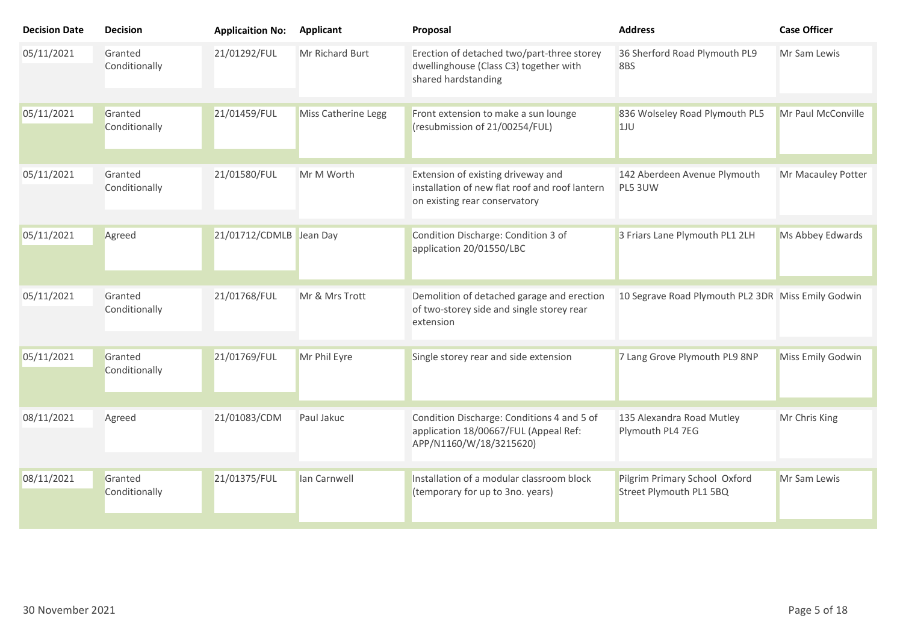| <b>Decision Date</b> | <b>Decision</b>          | <b>Applicaition No:</b> | <b>Applicant</b>    | Proposal                                                                                                              | <b>Address</b>                                           | <b>Case Officer</b> |
|----------------------|--------------------------|-------------------------|---------------------|-----------------------------------------------------------------------------------------------------------------------|----------------------------------------------------------|---------------------|
| 05/11/2021           | Granted<br>Conditionally | 21/01292/FUL            | Mr Richard Burt     | Erection of detached two/part-three storey<br>dwellinghouse (Class C3) together with<br>shared hardstanding           | 36 Sherford Road Plymouth PL9<br>8BS                     | Mr Sam Lewis        |
| 05/11/2021           | Granted<br>Conditionally | 21/01459/FUL            | Miss Catherine Legg | Front extension to make a sun lounge<br>(resubmission of 21/00254/FUL)                                                | 836 Wolseley Road Plymouth PL5<br>1JU                    | Mr Paul McConville  |
| 05/11/2021           | Granted<br>Conditionally | 21/01580/FUL            | Mr M Worth          | Extension of existing driveway and<br>installation of new flat roof and roof lantern<br>on existing rear conservatory | 142 Aberdeen Avenue Plymouth<br>PL5 3UW                  | Mr Macauley Potter  |
| 05/11/2021           | Agreed                   | 21/01712/CDMLB Jean Day |                     | Condition Discharge: Condition 3 of<br>application 20/01550/LBC                                                       | 3 Friars Lane Plymouth PL1 2LH                           | Ms Abbey Edwards    |
| 05/11/2021           | Granted<br>Conditionally | 21/01768/FUL            | Mr & Mrs Trott      | Demolition of detached garage and erection<br>of two-storey side and single storey rear<br>extension                  | 10 Segrave Road Plymouth PL2 3DR Miss Emily Godwin       |                     |
| 05/11/2021           | Granted<br>Conditionally | 21/01769/FUL            | Mr Phil Eyre        | Single storey rear and side extension                                                                                 | 7 Lang Grove Plymouth PL9 8NP                            | Miss Emily Godwin   |
| 08/11/2021           | Agreed                   | 21/01083/CDM            | Paul Jakuc          | Condition Discharge: Conditions 4 and 5 of<br>application 18/00667/FUL (Appeal Ref:<br>APP/N1160/W/18/3215620)        | 135 Alexandra Road Mutley<br>Plymouth PL4 7EG            | Mr Chris King       |
| 08/11/2021           | Granted<br>Conditionally | 21/01375/FUL            | lan Carnwell        | Installation of a modular classroom block<br>(temporary for up to 3no. years)                                         | Pilgrim Primary School Oxford<br>Street Plymouth PL1 5BQ | Mr Sam Lewis        |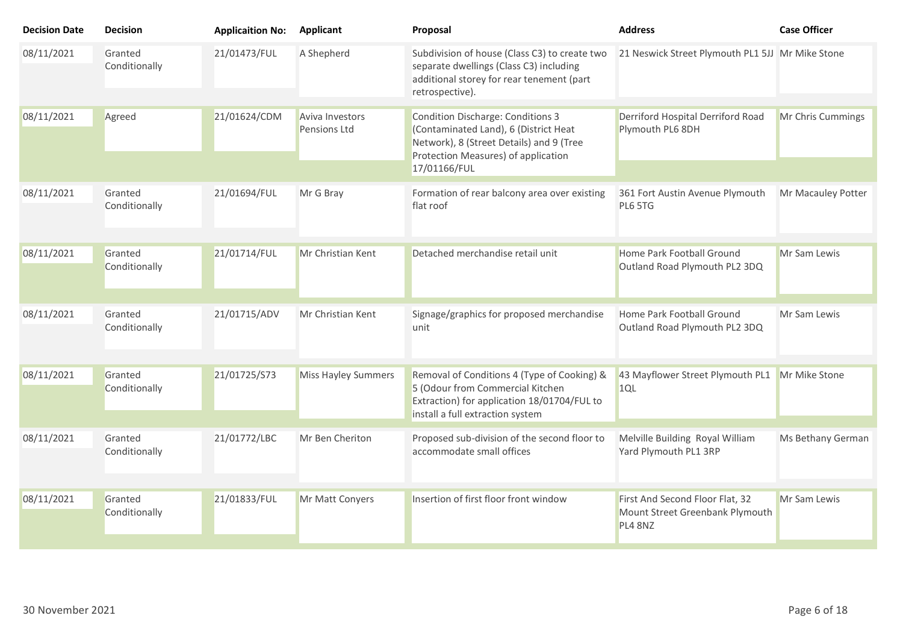| <b>Decision Date</b> | <b>Decision</b>          | <b>Applicaition No:</b> | <b>Applicant</b>                | Proposal                                                                                                                                                             | <b>Address</b>                                             | <b>Case Officer</b> |
|----------------------|--------------------------|-------------------------|---------------------------------|----------------------------------------------------------------------------------------------------------------------------------------------------------------------|------------------------------------------------------------|---------------------|
| 08/11/2021           | Granted<br>Conditionally | 21/01473/FUL            | A Shepherd                      | Subdivision of house (Class C3) to create two<br>separate dwellings (Class C3) including<br>additional storey for rear tenement (part<br>retrospective).             | 21 Neswick Street Plymouth PL1 5JJ Mr Mike Stone           |                     |
| 08/11/2021           | Agreed                   | 21/01624/CDM            | Aviva Investors<br>Pensions Ltd | <b>Condition Discharge: Conditions 3</b><br>(Contaminated Land), 6 (District Heat<br>Network), 8 (Street Details) and 9 (Tree<br>Protection Measures) of application | Derriford Hospital Derriford Road<br>Plymouth PL6 8DH      | Mr Chris Cummings   |
|                      |                          |                         |                                 | 17/01166/FUL                                                                                                                                                         |                                                            |                     |
| 08/11/2021           | Granted<br>Conditionally | 21/01694/FUL            | Mr G Bray                       | Formation of rear balcony area over existing<br>flat roof                                                                                                            | 361 Fort Austin Avenue Plymouth<br>PL6 5TG                 | Mr Macauley Potter  |
| 08/11/2021           | Granted<br>Conditionally | 21/01714/FUL            | Mr Christian Kent               | Detached merchandise retail unit                                                                                                                                     | Home Park Football Ground<br>Outland Road Plymouth PL2 3DQ | Mr Sam Lewis        |
| 08/11/2021           | Granted<br>Conditionally | 21/01715/ADV            | Mr Christian Kent               | Signage/graphics for proposed merchandise<br>unit                                                                                                                    | Home Park Football Ground<br>Outland Road Plymouth PL2 3DQ | Mr Sam Lewis        |
| 08/11/2021           | Granted<br>Conditionally | 21/01725/S73            | <b>Miss Hayley Summers</b>      | Removal of Conditions 4 (Type of Cooking) &<br>5 (Odour from Commercial Kitchen<br>Extraction) for application 18/01704/FUL to<br>install a full extraction system   | 43 Mayflower Street Plymouth PL1 Mr Mike Stone<br>1QL      |                     |
| 08/11/2021           | Granted<br>Conditionally | 21/01772/LBC            | Mr Ben Cheriton                 | Proposed sub-division of the second floor to<br>accommodate small offices                                                                                            | Melville Building Royal William<br>Yard Plymouth PL1 3RP   | Ms Bethany German   |
| 08/11/2021           | Granted                  | 21/01833/FUL            | Mr Matt Conyers                 | Insertion of first floor front window                                                                                                                                | First And Second Floor Flat, 32                            | Mr Sam Lewis        |
|                      | Conditionally            |                         |                                 |                                                                                                                                                                      | Mount Street Greenbank Plymouth<br>PL4 8NZ                 |                     |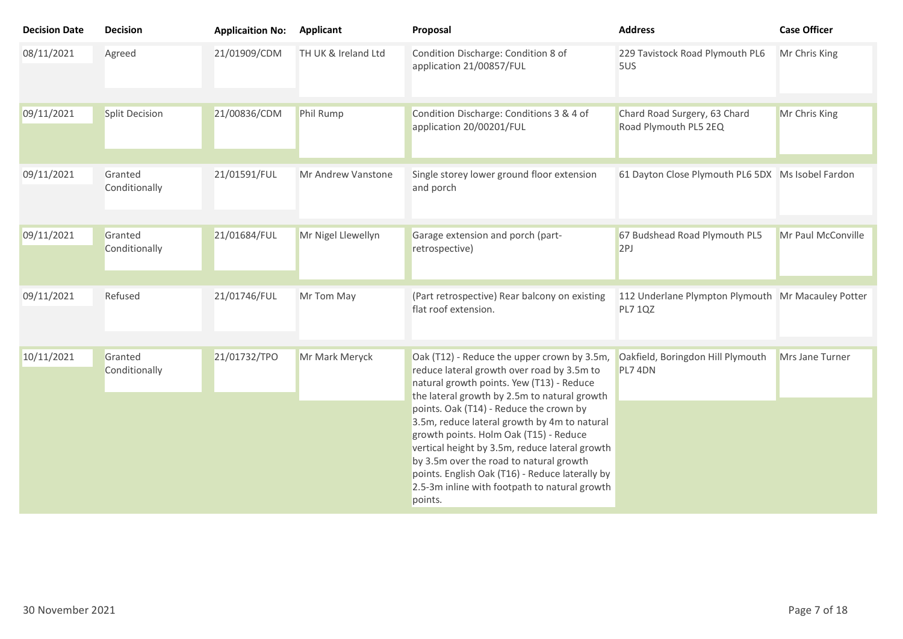| <b>Decision Date</b> | <b>Decision</b>          | <b>Applicaition No:</b> | <b>Applicant</b>    | Proposal                                                                                                                                                                                                                                                                                                                                                                                                                                                                                                                                | <b>Address</b>                                                       | <b>Case Officer</b> |
|----------------------|--------------------------|-------------------------|---------------------|-----------------------------------------------------------------------------------------------------------------------------------------------------------------------------------------------------------------------------------------------------------------------------------------------------------------------------------------------------------------------------------------------------------------------------------------------------------------------------------------------------------------------------------------|----------------------------------------------------------------------|---------------------|
| 08/11/2021           | Agreed                   | 21/01909/CDM            | TH UK & Ireland Ltd | Condition Discharge: Condition 8 of<br>application 21/00857/FUL                                                                                                                                                                                                                                                                                                                                                                                                                                                                         | 229 Tavistock Road Plymouth PL6<br>5US                               | Mr Chris King       |
| 09/11/2021           | <b>Split Decision</b>    | 21/00836/CDM            | Phil Rump           | Condition Discharge: Conditions 3 & 4 of<br>application 20/00201/FUL                                                                                                                                                                                                                                                                                                                                                                                                                                                                    | Chard Road Surgery, 63 Chard<br>Road Plymouth PL5 2EQ                | Mr Chris King       |
| 09/11/2021           | Granted<br>Conditionally | 21/01591/FUL            | Mr Andrew Vanstone  | Single storey lower ground floor extension<br>and porch                                                                                                                                                                                                                                                                                                                                                                                                                                                                                 | 61 Dayton Close Plymouth PL6 5DX Ms Isobel Fardon                    |                     |
| 09/11/2021           | Granted<br>Conditionally | 21/01684/FUL            | Mr Nigel Llewellyn  | Garage extension and porch (part-<br>retrospective)                                                                                                                                                                                                                                                                                                                                                                                                                                                                                     | 67 Budshead Road Plymouth PL5<br>2PI                                 | Mr Paul McConville  |
| 09/11/2021           | Refused                  | 21/01746/FUL            | Mr Tom May          | (Part retrospective) Rear balcony on existing<br>flat roof extension.                                                                                                                                                                                                                                                                                                                                                                                                                                                                   | 112 Underlane Plympton Plymouth Mr Macauley Potter<br><b>PL7 1QZ</b> |                     |
| 10/11/2021           | Granted<br>Conditionally | 21/01732/TPO            | Mr Mark Meryck      | Oak (T12) - Reduce the upper crown by 3.5m,<br>reduce lateral growth over road by 3.5m to<br>natural growth points. Yew (T13) - Reduce<br>the lateral growth by 2.5m to natural growth<br>points. Oak (T14) - Reduce the crown by<br>3.5m, reduce lateral growth by 4m to natural<br>growth points. Holm Oak (T15) - Reduce<br>vertical height by 3.5m, reduce lateral growth<br>by 3.5m over the road to natural growth<br>points. English Oak (T16) - Reduce laterally by<br>2.5-3m inline with footpath to natural growth<br>points. | Oakfield, Boringdon Hill Plymouth<br>PL7 4DN                         | Mrs Jane Turner     |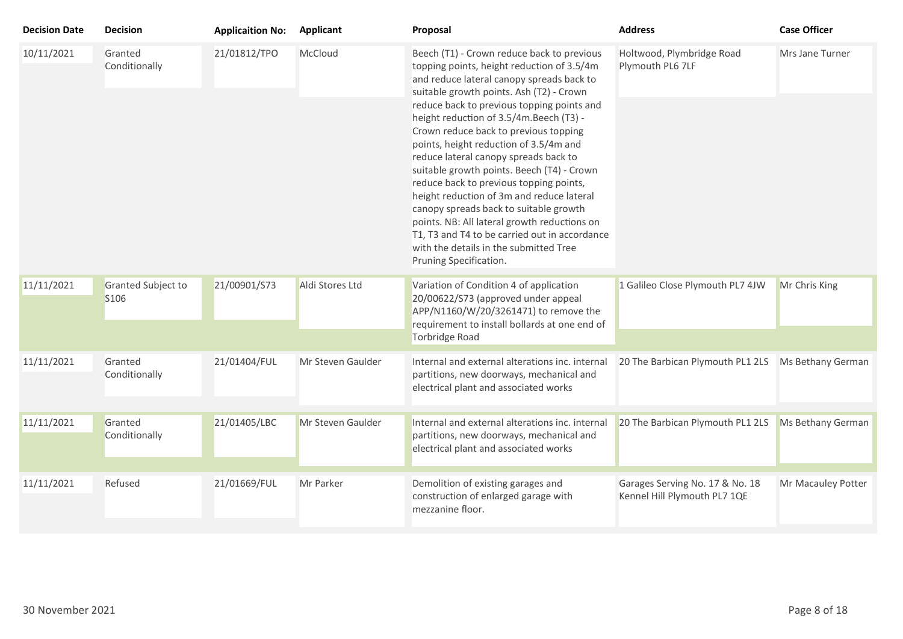| <b>Decision Date</b> | <b>Decision</b>            | <b>Applicaition No:</b> | <b>Applicant</b>  | Proposal                                                                                                                                                                                                                                                                                                                                                                                                                                                                                                                                                                                                                                                                                                                                                    | <b>Address</b>                                                  | <b>Case Officer</b> |
|----------------------|----------------------------|-------------------------|-------------------|-------------------------------------------------------------------------------------------------------------------------------------------------------------------------------------------------------------------------------------------------------------------------------------------------------------------------------------------------------------------------------------------------------------------------------------------------------------------------------------------------------------------------------------------------------------------------------------------------------------------------------------------------------------------------------------------------------------------------------------------------------------|-----------------------------------------------------------------|---------------------|
| 10/11/2021           | Granted<br>Conditionally   | 21/01812/TPO            | McCloud           | Beech (T1) - Crown reduce back to previous<br>topping points, height reduction of 3.5/4m<br>and reduce lateral canopy spreads back to<br>suitable growth points. Ash (T2) - Crown<br>reduce back to previous topping points and<br>height reduction of 3.5/4m.Beech (T3) -<br>Crown reduce back to previous topping<br>points, height reduction of 3.5/4m and<br>reduce lateral canopy spreads back to<br>suitable growth points. Beech (T4) - Crown<br>reduce back to previous topping points,<br>height reduction of 3m and reduce lateral<br>canopy spreads back to suitable growth<br>points. NB: All lateral growth reductions on<br>T1, T3 and T4 to be carried out in accordance<br>with the details in the submitted Tree<br>Pruning Specification. | Holtwood, Plymbridge Road<br>Plymouth PL6 7LF                   | Mrs Jane Turner     |
| 11/11/2021           | Granted Subject to<br>S106 | 21/00901/S73            | Aldi Stores Ltd   | Variation of Condition 4 of application<br>20/00622/S73 (approved under appeal<br>APP/N1160/W/20/3261471) to remove the<br>requirement to install bollards at one end of                                                                                                                                                                                                                                                                                                                                                                                                                                                                                                                                                                                    | 1 Galileo Close Plymouth PL7 4JW                                | Mr Chris King       |
|                      |                            |                         |                   | Torbridge Road                                                                                                                                                                                                                                                                                                                                                                                                                                                                                                                                                                                                                                                                                                                                              |                                                                 |                     |
| 11/11/2021           | Granted<br>Conditionally   | 21/01404/FUL            | Mr Steven Gaulder | Internal and external alterations inc. internal<br>partitions, new doorways, mechanical and<br>electrical plant and associated works                                                                                                                                                                                                                                                                                                                                                                                                                                                                                                                                                                                                                        | 20 The Barbican Plymouth PL1 2LS                                | Ms Bethany German   |
| 11/11/2021           | Granted<br>Conditionally   | 21/01405/LBC            | Mr Steven Gaulder | Internal and external alterations inc. internal<br>partitions, new doorways, mechanical and<br>electrical plant and associated works                                                                                                                                                                                                                                                                                                                                                                                                                                                                                                                                                                                                                        | 20 The Barbican Plymouth PL1 2LS                                | Ms Bethany German   |
| 11/11/2021           | Refused                    | 21/01669/FUL            | Mr Parker         | Demolition of existing garages and<br>construction of enlarged garage with<br>mezzanine floor.                                                                                                                                                                                                                                                                                                                                                                                                                                                                                                                                                                                                                                                              | Garages Serving No. 17 & No. 18<br>Kennel Hill Plymouth PL7 1QE | Mr Macauley Potter  |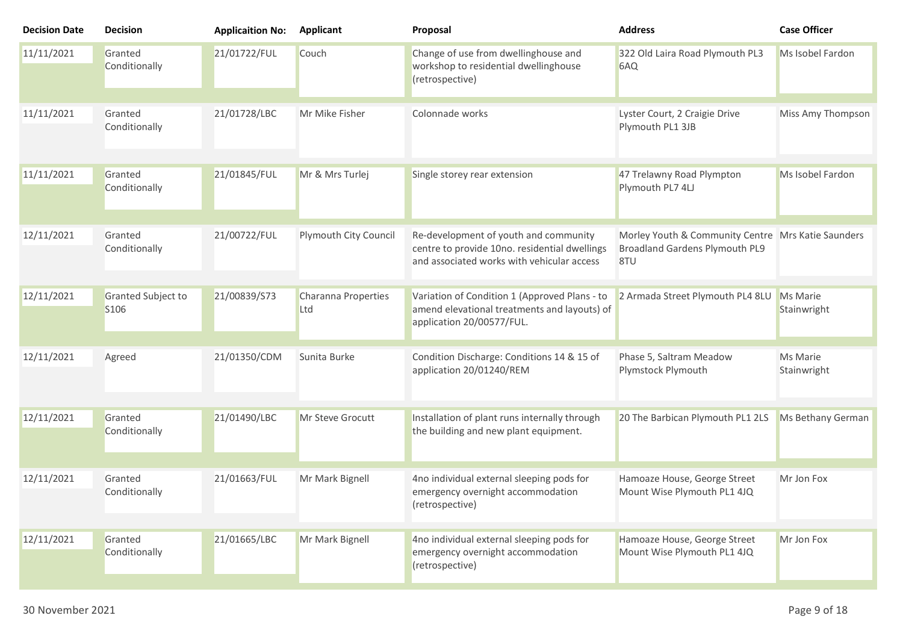| <b>Decision Date</b> | <b>Decision</b>            | <b>Applicaition No:</b> | <b>Applicant</b>           | Proposal                                                                                                                             | <b>Address</b>                                                                              | <b>Case Officer</b>     |
|----------------------|----------------------------|-------------------------|----------------------------|--------------------------------------------------------------------------------------------------------------------------------------|---------------------------------------------------------------------------------------------|-------------------------|
| 11/11/2021           | Granted<br>Conditionally   | 21/01722/FUL            | Couch                      | Change of use from dwellinghouse and<br>workshop to residential dwellinghouse<br>(retrospective)                                     | 322 Old Laira Road Plymouth PL3<br>6AQ                                                      | Ms Isobel Fardon        |
| 11/11/2021           | Granted<br>Conditionally   | 21/01728/LBC            | Mr Mike Fisher             | Colonnade works                                                                                                                      | Lyster Court, 2 Craigie Drive<br>Plymouth PL1 3JB                                           | Miss Amy Thompson       |
| 11/11/2021           | Granted<br>Conditionally   | 21/01845/FUL            | Mr & Mrs Turlej            | Single storey rear extension                                                                                                         | 47 Trelawny Road Plympton<br>Plymouth PL7 4LJ                                               | Ms Isobel Fardon        |
| 12/11/2021           | Granted<br>Conditionally   | 21/00722/FUL            | Plymouth City Council      | Re-development of youth and community<br>centre to provide 10no. residential dwellings<br>and associated works with vehicular access | Morley Youth & Community Centre Mrs Katie Saunders<br>Broadland Gardens Plymouth PL9<br>8TU |                         |
| 12/11/2021           | Granted Subject to<br>S106 | 21/00839/S73            | Charanna Properties<br>Ltd | Variation of Condition 1 (Approved Plans - to<br>amend elevational treatments and layouts) of<br>application 20/00577/FUL.           | 2 Armada Street Plymouth PL4 8LU                                                            | Ms Marie<br>Stainwright |
| 12/11/2021           | Agreed                     | 21/01350/CDM            | Sunita Burke               | Condition Discharge: Conditions 14 & 15 of<br>application 20/01240/REM                                                               | Phase 5, Saltram Meadow<br>Plymstock Plymouth                                               | Ms Marie<br>Stainwright |
| 12/11/2021           | Granted<br>Conditionally   | 21/01490/LBC            | Mr Steve Grocutt           | Installation of plant runs internally through<br>the building and new plant equipment.                                               | 20 The Barbican Plymouth PL1 2LS                                                            | Ms Bethany German       |
| 12/11/2021           | Granted<br>Conditionally   | 21/01663/FUL            | Mr Mark Bignell            | 4no individual external sleeping pods for<br>emergency overnight accommodation<br>(retrospective)                                    | Hamoaze House, George Street<br>Mount Wise Plymouth PL1 4JQ                                 | Mr Jon Fox              |
| 12/11/2021           | Granted<br>Conditionally   | 21/01665/LBC            | Mr Mark Bignell            | 4no individual external sleeping pods for<br>emergency overnight accommodation<br>(retrospective)                                    | Hamoaze House, George Street<br>Mount Wise Plymouth PL1 4JQ                                 | Mr Jon Fox              |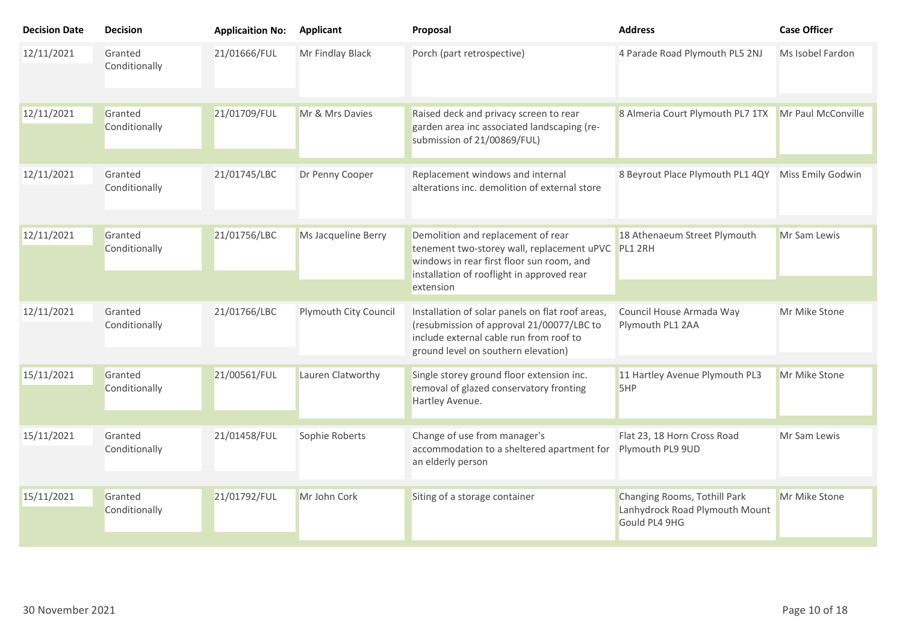| <b>Decision Date</b> | <b>Decision</b>          | <b>Applicaition No:</b> | <b>Applicant</b>      | Proposal                                                                                                                                                                                         | <b>Address</b>                                                                  | <b>Case Officer</b> |
|----------------------|--------------------------|-------------------------|-----------------------|--------------------------------------------------------------------------------------------------------------------------------------------------------------------------------------------------|---------------------------------------------------------------------------------|---------------------|
| 12/11/2021           | Granted<br>Conditionally | 21/01666/FUL            | Mr Findlay Black      | Porch (part retrospective)                                                                                                                                                                       | 4 Parade Road Plymouth PL5 2NJ                                                  | Ms Isobel Fardon    |
| 12/11/2021           | Granted<br>Conditionally | 21/01709/FUL            | Mr & Mrs Davies       | Raised deck and privacy screen to rear<br>garden area inc associated landscaping (re-<br>submission of 21/00869/FUL)                                                                             | 8 Almeria Court Plymouth PL7 1TX                                                | Mr Paul McConville  |
| 12/11/2021           | Granted<br>Conditionally | 21/01745/LBC            | Dr Penny Cooper       | Replacement windows and internal<br>alterations inc. demolition of external store                                                                                                                | 8 Beyrout Place Plymouth PL1 4QY                                                | Miss Emily Godwin   |
| 12/11/2021           | Granted<br>Conditionally | 21/01756/LBC            | Ms Jacqueline Berry   | Demolition and replacement of rear<br>tenement two-storey wall, replacement uPVC PL1 2RH<br>windows in rear first floor sun room, and<br>installation of rooflight in approved rear<br>extension | 18 Athenaeum Street Plymouth                                                    | Mr Sam Lewis        |
|                      |                          |                         |                       |                                                                                                                                                                                                  |                                                                                 |                     |
| 12/11/2021           | Granted<br>Conditionally | 21/01766/LBC            | Plymouth City Council | Installation of solar panels on flat roof areas,<br>(resubmission of approval 21/00077/LBC to<br>include external cable run from roof to<br>ground level on southern elevation)                  | Council House Armada Way<br>Plymouth PL1 2AA                                    | Mr Mike Stone       |
|                      |                          |                         |                       |                                                                                                                                                                                                  |                                                                                 |                     |
| 15/11/2021           | Granted<br>Conditionally | 21/00561/FUL            | Lauren Clatworthy     | Single storey ground floor extension inc.<br>removal of glazed conservatory fronting<br>Hartley Avenue.                                                                                          | 11 Hartley Avenue Plymouth PL3<br>5HP                                           | Mr Mike Stone       |
|                      |                          |                         |                       |                                                                                                                                                                                                  |                                                                                 |                     |
| 15/11/2021           | Granted<br>Conditionally | 21/01458/FUL            | Sophie Roberts        | Change of use from manager's<br>accommodation to a sheltered apartment for<br>an elderly person                                                                                                  | Flat 23, 18 Horn Cross Road<br>Plymouth PL9 9UD                                 | Mr Sam Lewis        |
|                      |                          |                         |                       |                                                                                                                                                                                                  |                                                                                 |                     |
| 15/11/2021           | Granted<br>Conditionally | 21/01792/FUL            | Mr John Cork          | Siting of a storage container                                                                                                                                                                    | Changing Rooms, Tothill Park<br>Lanhydrock Road Plymouth Mount<br>Gould PL4 9HG | Mr Mike Stone       |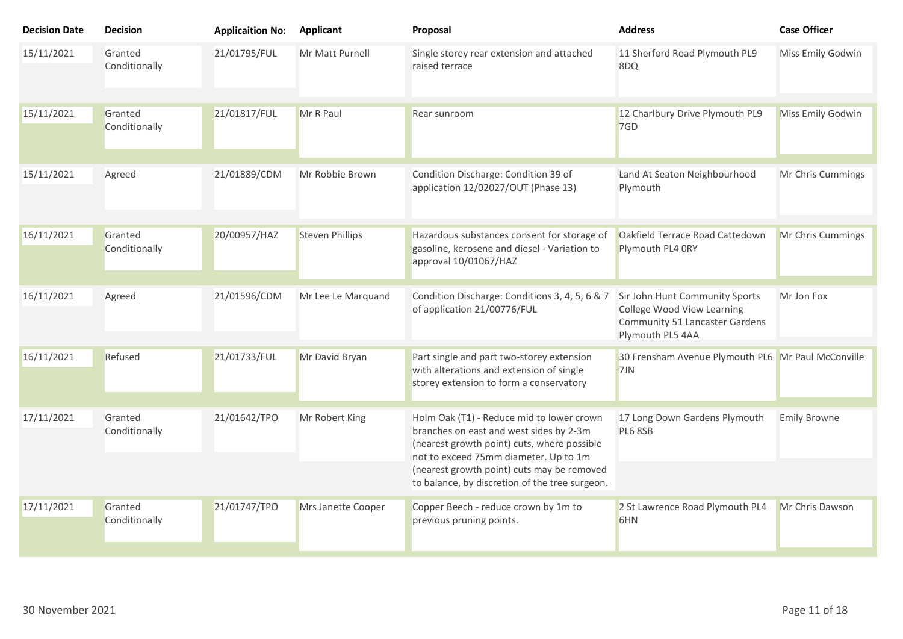| <b>Decision Date</b> | <b>Decision</b>                          | <b>Applicaition No:</b> | <b>Applicant</b>                                                                                                                                                             | Proposal                                                                                                                         | <b>Address</b>                                                                                                            | <b>Case Officer</b> |
|----------------------|------------------------------------------|-------------------------|------------------------------------------------------------------------------------------------------------------------------------------------------------------------------|----------------------------------------------------------------------------------------------------------------------------------|---------------------------------------------------------------------------------------------------------------------------|---------------------|
| 15/11/2021           | Granted<br>Conditionally                 | 21/01795/FUL            | Mr Matt Purnell                                                                                                                                                              | Single storey rear extension and attached<br>raised terrace                                                                      | 11 Sherford Road Plymouth PL9<br>8DQ                                                                                      | Miss Emily Godwin   |
| 15/11/2021           | Granted<br>Conditionally                 | 21/01817/FUL            | Mr R Paul                                                                                                                                                                    | Rear sunroom                                                                                                                     | 12 Charlbury Drive Plymouth PL9<br>7GD                                                                                    | Miss Emily Godwin   |
| 15/11/2021           | Agreed                                   | 21/01889/CDM            | Mr Robbie Brown                                                                                                                                                              | Condition Discharge: Condition 39 of<br>application 12/02027/OUT (Phase 13)                                                      | Land At Seaton Neighbourhood<br>Plymouth                                                                                  | Mr Chris Cummings   |
| 16/11/2021           | Granted<br>Conditionally                 | 20/00957/HAZ            | <b>Steven Phillips</b>                                                                                                                                                       | Hazardous substances consent for storage of<br>gasoline, kerosene and diesel - Variation to<br>approval 10/01067/HAZ             | Oakfield Terrace Road Cattedown<br>Plymouth PL4 ORY                                                                       | Mr Chris Cummings   |
| 16/11/2021           | Agreed                                   | 21/01596/CDM            | Mr Lee Le Marquand                                                                                                                                                           | Condition Discharge: Conditions 3, 4, 5, 6 & 7<br>of application 21/00776/FUL                                                    | Sir John Hunt Community Sports<br>College Wood View Learning<br><b>Community 51 Lancaster Gardens</b><br>Plymouth PL5 4AA | Mr Jon Fox          |
| 16/11/2021           | Refused                                  | 21/01733/FUL            | Mr David Bryan                                                                                                                                                               | Part single and part two-storey extension<br>with alterations and extension of single<br>storey extension to form a conservatory | 30 Frensham Avenue Plymouth PL6 Mr Paul McConville<br>7JN                                                                 |                     |
| 17/11/2021           | 21/01642/TPO<br>Granted<br>Conditionally | Mr Robert King          | Holm Oak (T1) - Reduce mid to lower crown<br>branches on east and west sides by 2-3m<br>(nearest growth point) cuts, where possible<br>not to exceed 75mm diameter. Up to 1m | 17 Long Down Gardens Plymouth<br><b>PL6 8SB</b>                                                                                  | <b>Emily Browne</b>                                                                                                       |                     |
|                      |                                          |                         |                                                                                                                                                                              | (nearest growth point) cuts may be removed<br>to balance, by discretion of the tree surgeon.                                     |                                                                                                                           |                     |
| 17/11/2021           | Granted<br>Conditionally                 | 21/01747/TPO            | Mrs Janette Cooper                                                                                                                                                           | Copper Beech - reduce crown by 1m to<br>previous pruning points.                                                                 | 2 St Lawrence Road Plymouth PL4<br>6HN                                                                                    | Mr Chris Dawson     |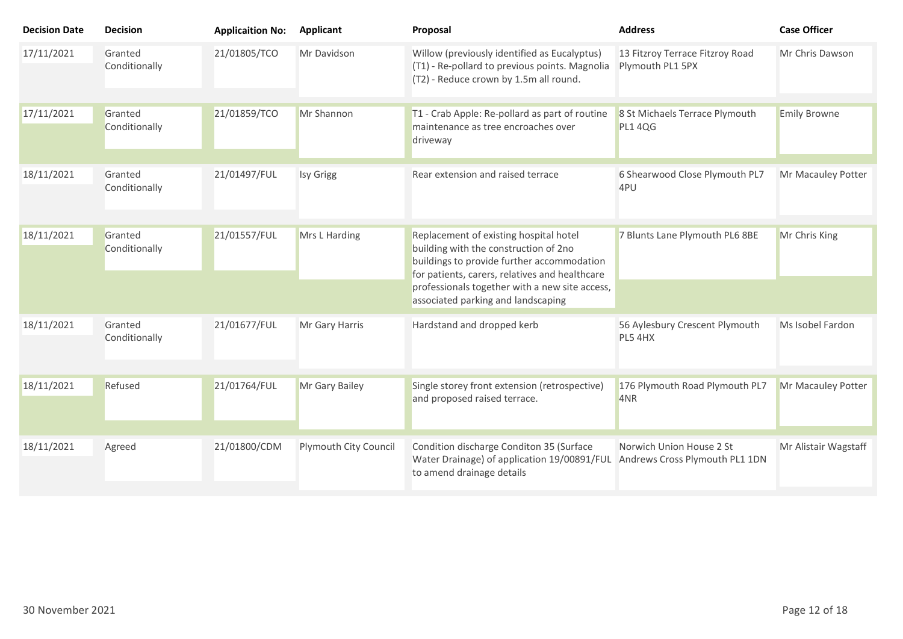| <b>Decision Date</b> | <b>Decision</b>          | <b>Applicaition No:</b> | <b>Applicant</b>      | Proposal                                                                                                                                                                                                                                                                | <b>Address</b>                                             | <b>Case Officer</b>  |
|----------------------|--------------------------|-------------------------|-----------------------|-------------------------------------------------------------------------------------------------------------------------------------------------------------------------------------------------------------------------------------------------------------------------|------------------------------------------------------------|----------------------|
| 17/11/2021           | Granted<br>Conditionally | 21/01805/TCO            | Mr Davidson           | Willow (previously identified as Eucalyptus)<br>(T1) - Re-pollard to previous points. Magnolia<br>(T2) - Reduce crown by 1.5m all round.                                                                                                                                | 13 Fitzroy Terrace Fitzroy Road<br>Plymouth PL1 5PX        | Mr Chris Dawson      |
| 17/11/2021           | Granted<br>Conditionally | 21/01859/TCO            | Mr Shannon            | T1 - Crab Apple: Re-pollard as part of routine<br>maintenance as tree encroaches over<br>driveway                                                                                                                                                                       | 8 St Michaels Terrace Plymouth<br><b>PL1 4QG</b>           | <b>Emily Browne</b>  |
| 18/11/2021           | Granted<br>Conditionally | 21/01497/FUL            | Isy Grigg             | Rear extension and raised terrace                                                                                                                                                                                                                                       | 6 Shearwood Close Plymouth PL7<br>4PU                      | Mr Macauley Potter   |
| 18/11/2021           | Granted<br>Conditionally | 21/01557/FUL            | Mrs L Harding         | Replacement of existing hospital hotel<br>building with the construction of 2no<br>buildings to provide further accommodation<br>for patients, carers, relatives and healthcare<br>professionals together with a new site access,<br>associated parking and landscaping | 7 Blunts Lane Plymouth PL6 8BE                             | Mr Chris King        |
| 18/11/2021           | Granted<br>Conditionally | 21/01677/FUL            | Mr Gary Harris        | Hardstand and dropped kerb                                                                                                                                                                                                                                              | 56 Aylesbury Crescent Plymouth<br>PL5 4HX                  | Ms Isobel Fardon     |
| 18/11/2021           | Refused                  | 21/01764/FUL            | Mr Gary Bailey        | Single storey front extension (retrospective)<br>and proposed raised terrace.                                                                                                                                                                                           | 176 Plymouth Road Plymouth PL7<br>4NR                      | Mr Macauley Potter   |
| 18/11/2021           | Agreed                   | 21/01800/CDM            | Plymouth City Council | Condition discharge Conditon 35 (Surface<br>Water Drainage) of application 19/00891/FUL<br>to amend drainage details                                                                                                                                                    | Norwich Union House 2 St<br>Andrews Cross Plymouth PL1 1DN | Mr Alistair Wagstaff |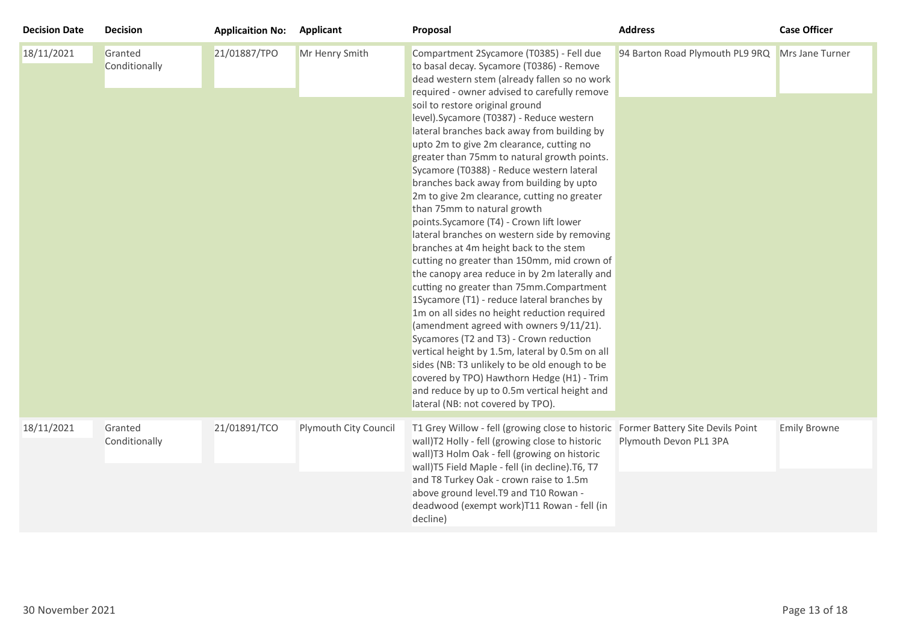| <b>Decision Date</b> | <b>Decision</b>          | <b>Applicaition No:</b> | <b>Applicant</b>      | Proposal                                                                                                                                                                                                                                                                                                                                                                                                                                                                                                                                                                                                                                                                                                                                                                                                                                                                                                                                                                                                                                                                                                                                                                                                                                                                                            | <b>Address</b>                  | <b>Case Officer</b> |
|----------------------|--------------------------|-------------------------|-----------------------|-----------------------------------------------------------------------------------------------------------------------------------------------------------------------------------------------------------------------------------------------------------------------------------------------------------------------------------------------------------------------------------------------------------------------------------------------------------------------------------------------------------------------------------------------------------------------------------------------------------------------------------------------------------------------------------------------------------------------------------------------------------------------------------------------------------------------------------------------------------------------------------------------------------------------------------------------------------------------------------------------------------------------------------------------------------------------------------------------------------------------------------------------------------------------------------------------------------------------------------------------------------------------------------------------------|---------------------------------|---------------------|
| 18/11/2021           | Granted<br>Conditionally | 21/01887/TPO            | Mr Henry Smith        | Compartment 2Sycamore (T0385) - Fell due<br>to basal decay. Sycamore (T0386) - Remove<br>dead western stem (already fallen so no work<br>required - owner advised to carefully remove<br>soil to restore original ground<br>level). Sycamore (T0387) - Reduce western<br>lateral branches back away from building by<br>upto 2m to give 2m clearance, cutting no<br>greater than 75mm to natural growth points.<br>Sycamore (T0388) - Reduce western lateral<br>branches back away from building by upto<br>2m to give 2m clearance, cutting no greater<br>than 75mm to natural growth<br>points.Sycamore (T4) - Crown lift lower<br>lateral branches on western side by removing<br>branches at 4m height back to the stem<br>cutting no greater than 150mm, mid crown of<br>the canopy area reduce in by 2m laterally and<br>cutting no greater than 75mm.Compartment<br>1Sycamore (T1) - reduce lateral branches by<br>1m on all sides no height reduction required<br>(amendment agreed with owners 9/11/21).<br>Sycamores (T2 and T3) - Crown reduction<br>vertical height by 1.5m, lateral by 0.5m on all<br>sides (NB: T3 unlikely to be old enough to be<br>covered by TPO) Hawthorn Hedge (H1) - Trim<br>and reduce by up to 0.5m vertical height and<br>lateral (NB: not covered by TPO). | 94 Barton Road Plymouth PL9 9RQ | Mrs Jane Turner     |
| 18/11/2021           | Granted<br>Conditionally | 21/01891/TCO            | Plymouth City Council | T1 Grey Willow - fell (growing close to historic Former Battery Site Devils Point<br>wall)T2 Holly - fell (growing close to historic<br>wall)T3 Holm Oak - fell (growing on historic<br>wall)T5 Field Maple - fell (in decline).T6, T7<br>and T8 Turkey Oak - crown raise to 1.5m<br>above ground level. T9 and T10 Rowan -<br>deadwood (exempt work)T11 Rowan - fell (in<br>decline)                                                                                                                                                                                                                                                                                                                                                                                                                                                                                                                                                                                                                                                                                                                                                                                                                                                                                                               | Plymouth Devon PL1 3PA          | <b>Emily Browne</b> |
|                      |                          |                         |                       |                                                                                                                                                                                                                                                                                                                                                                                                                                                                                                                                                                                                                                                                                                                                                                                                                                                                                                                                                                                                                                                                                                                                                                                                                                                                                                     |                                 |                     |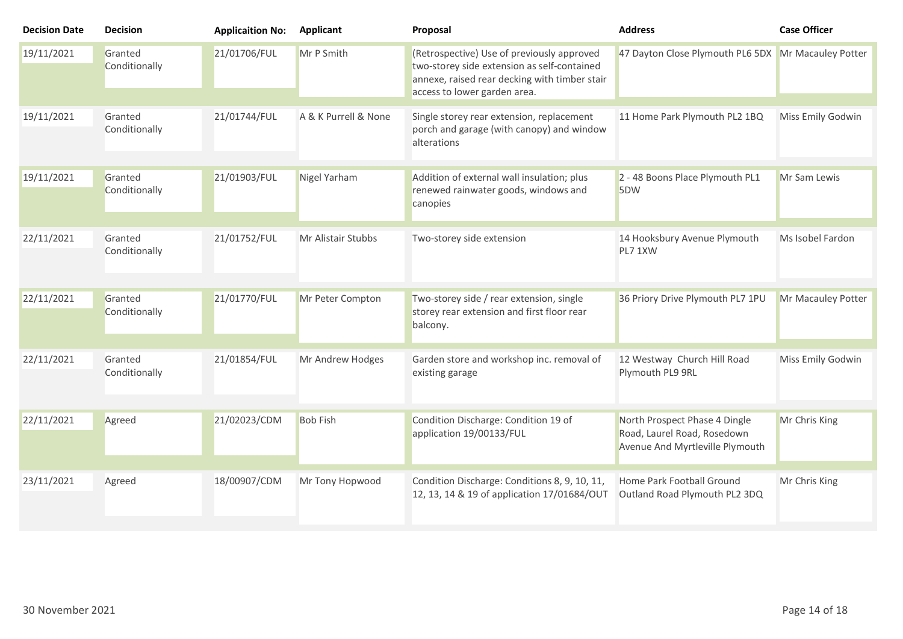| <b>Decision Date</b> | <b>Decision</b>          | <b>Applicaition No:</b> | Applicant            | Proposal                                                                                                                                                                   | <b>Address</b>                                                                                  | <b>Case Officer</b> |
|----------------------|--------------------------|-------------------------|----------------------|----------------------------------------------------------------------------------------------------------------------------------------------------------------------------|-------------------------------------------------------------------------------------------------|---------------------|
| 19/11/2021           | Granted<br>Conditionally | 21/01706/FUL            | Mr P Smith           | (Retrospective) Use of previously approved<br>two-storey side extension as self-contained<br>annexe, raised rear decking with timber stair<br>access to lower garden area. | 47 Dayton Close Plymouth PL6 5DX Mr Macauley Potter                                             |                     |
| 19/11/2021           | Granted<br>Conditionally | 21/01744/FUL            | A & K Purrell & None | Single storey rear extension, replacement<br>porch and garage (with canopy) and window<br>alterations                                                                      | 11 Home Park Plymouth PL2 1BQ                                                                   | Miss Emily Godwin   |
| 19/11/2021           | Granted<br>Conditionally | 21/01903/FUL            | Nigel Yarham         | Addition of external wall insulation; plus<br>renewed rainwater goods, windows and<br>canopies                                                                             | 2 - 48 Boons Place Plymouth PL1<br>5DW                                                          | Mr Sam Lewis        |
| 22/11/2021           | Granted<br>Conditionally | 21/01752/FUL            | Mr Alistair Stubbs   | Two-storey side extension                                                                                                                                                  | 14 Hooksbury Avenue Plymouth<br>PL7 1XW                                                         | Ms Isobel Fardon    |
| 22/11/2021           | Granted<br>Conditionally | 21/01770/FUL            | Mr Peter Compton     | Two-storey side / rear extension, single<br>storey rear extension and first floor rear<br>balcony.                                                                         | 36 Priory Drive Plymouth PL7 1PU                                                                | Mr Macauley Potter  |
| 22/11/2021           | Granted<br>Conditionally | 21/01854/FUL            | Mr Andrew Hodges     | Garden store and workshop inc. removal of<br>existing garage                                                                                                               | 12 Westway Church Hill Road<br>Plymouth PL9 9RL                                                 | Miss Emily Godwin   |
| 22/11/2021           | Agreed                   | 21/02023/CDM            | <b>Bob Fish</b>      | Condition Discharge: Condition 19 of<br>application 19/00133/FUL                                                                                                           | North Prospect Phase 4 Dingle<br>Road, Laurel Road, Rosedown<br>Avenue And Myrtleville Plymouth | Mr Chris King       |
| 23/11/2021           | Agreed                   | 18/00907/CDM            | Mr Tony Hopwood      | Condition Discharge: Conditions 8, 9, 10, 11,<br>12, 13, 14 & 19 of application 17/01684/OUT                                                                               | Home Park Football Ground<br>Outland Road Plymouth PL2 3DQ                                      | Mr Chris King       |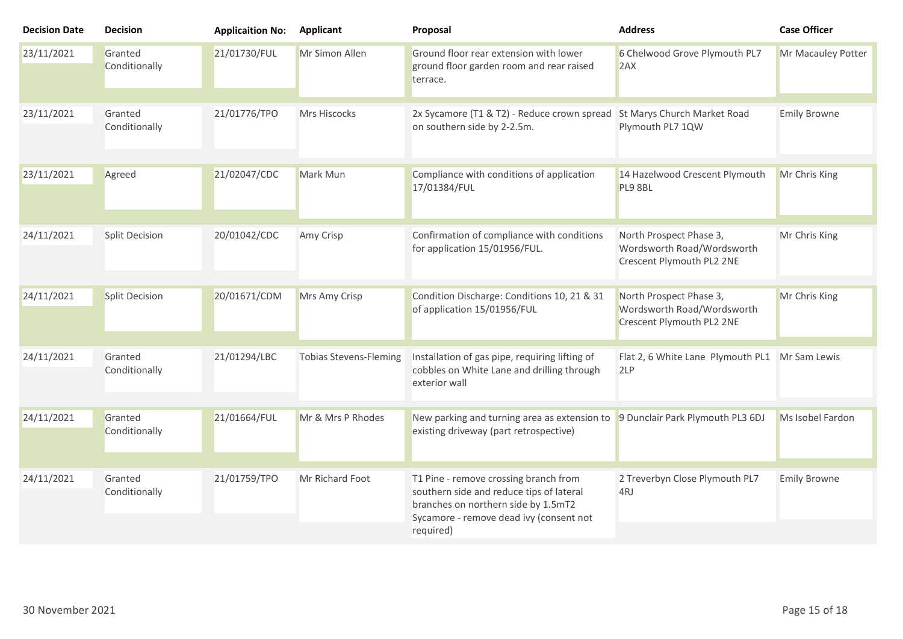| <b>Decision Date</b> | <b>Decision</b>          | <b>Applicaition No:</b> | <b>Applicant</b>              | Proposal                                                                                                                                                                         | <b>Address</b>                                                                     | <b>Case Officer</b> |
|----------------------|--------------------------|-------------------------|-------------------------------|----------------------------------------------------------------------------------------------------------------------------------------------------------------------------------|------------------------------------------------------------------------------------|---------------------|
| 23/11/2021           | Granted<br>Conditionally | 21/01730/FUL            | Mr Simon Allen                | Ground floor rear extension with lower<br>ground floor garden room and rear raised<br>terrace.                                                                                   | 6 Chelwood Grove Plymouth PL7<br>2AX                                               | Mr Macauley Potter  |
| 23/11/2021           | Granted<br>Conditionally | 21/01776/TPO            | Mrs Hiscocks                  | 2x Sycamore (T1 & T2) - Reduce crown spread<br>on southern side by 2-2.5m.                                                                                                       | St Marys Church Market Road<br>Plymouth PL7 1QW                                    | <b>Emily Browne</b> |
| 23/11/2021           | Agreed                   | 21/02047/CDC            | Mark Mun                      | Compliance with conditions of application<br>17/01384/FUL                                                                                                                        | 14 Hazelwood Crescent Plymouth<br>PL9 8BL                                          | Mr Chris King       |
| 24/11/2021           | <b>Split Decision</b>    | 20/01042/CDC            | Amy Crisp                     | Confirmation of compliance with conditions<br>for application 15/01956/FUL.                                                                                                      | North Prospect Phase 3,<br>Wordsworth Road/Wordsworth<br>Crescent Plymouth PL2 2NE | Mr Chris King       |
| 24/11/2021           | <b>Split Decision</b>    | 20/01671/CDM            | Mrs Amy Crisp                 | Condition Discharge: Conditions 10, 21 & 31<br>of application 15/01956/FUL                                                                                                       | North Prospect Phase 3,<br>Wordsworth Road/Wordsworth<br>Crescent Plymouth PL2 2NE | Mr Chris King       |
| 24/11/2021           | Granted<br>Conditionally | 21/01294/LBC            | <b>Tobias Stevens-Fleming</b> | Installation of gas pipe, requiring lifting of<br>cobbles on White Lane and drilling through<br>exterior wall                                                                    | Flat 2, 6 White Lane Plymouth PL1 Mr Sam Lewis<br>2LP                              |                     |
| 24/11/2021           | Granted<br>Conditionally | 21/01664/FUL            | Mr & Mrs P Rhodes             | New parking and turning area as extension to<br>existing driveway (part retrospective)                                                                                           | 9 Dunclair Park Plymouth PL3 6DJ                                                   | Ms Isobel Fardon    |
| 24/11/2021           | Granted<br>Conditionally | 21/01759/TPO            | Mr Richard Foot               | T1 Pine - remove crossing branch from<br>southern side and reduce tips of lateral<br>branches on northern side by 1.5mT2<br>Sycamore - remove dead ivy (consent not<br>required) | 2 Treverbyn Close Plymouth PL7<br>4RJ                                              | <b>Emily Browne</b> |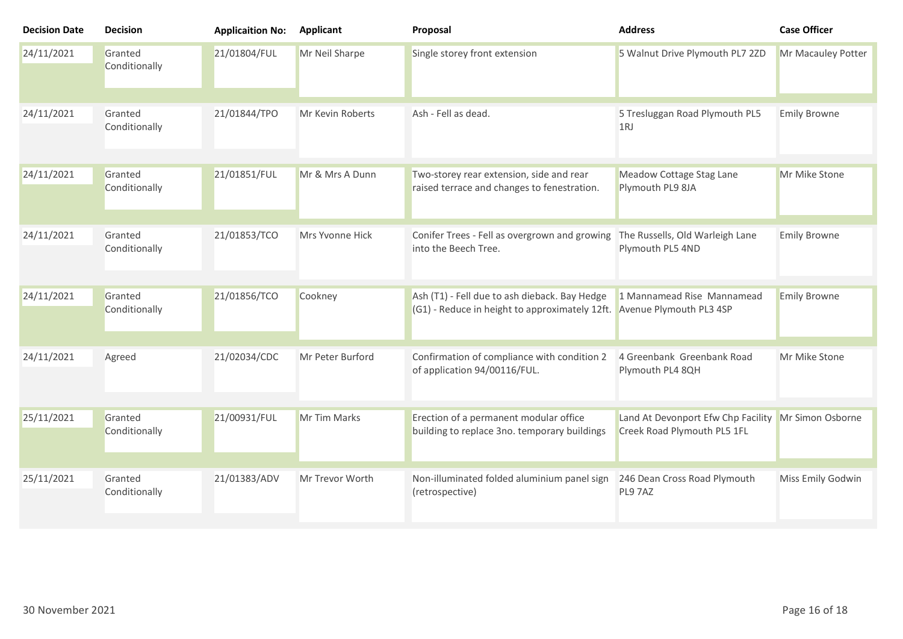| <b>Decision Date</b> | <b>Decision</b>          | <b>Applicaition No:</b> | <b>Applicant</b> | Proposal                                                                                                                | <b>Address</b>                                                    | <b>Case Officer</b> |
|----------------------|--------------------------|-------------------------|------------------|-------------------------------------------------------------------------------------------------------------------------|-------------------------------------------------------------------|---------------------|
| 24/11/2021           | Granted<br>Conditionally | 21/01804/FUL            | Mr Neil Sharpe   | Single storey front extension                                                                                           | 5 Walnut Drive Plymouth PL7 2ZD                                   | Mr Macauley Potter  |
| 24/11/2021           | Granted<br>Conditionally | 21/01844/TPO            | Mr Kevin Roberts | Ash - Fell as dead.                                                                                                     | 5 Tresluggan Road Plymouth PL5<br>1RJ                             | <b>Emily Browne</b> |
| 24/11/2021           | Granted<br>Conditionally | 21/01851/FUL            | Mr & Mrs A Dunn  | Two-storey rear extension, side and rear<br>raised terrace and changes to fenestration.                                 | Meadow Cottage Stag Lane<br>Plymouth PL9 8JA                      | Mr Mike Stone       |
| 24/11/2021           | Granted<br>Conditionally | 21/01853/TCO            | Mrs Yvonne Hick  | Conifer Trees - Fell as overgrown and growing<br>into the Beech Tree.                                                   | The Russells, Old Warleigh Lane<br>Plymouth PL5 4ND               | <b>Emily Browne</b> |
| 24/11/2021           | Granted<br>Conditionally | 21/01856/TCO            | Cookney          | Ash (T1) - Fell due to ash dieback. Bay Hedge<br>(G1) - Reduce in height to approximately 12ft. Avenue Plymouth PL3 4SP | 1 Mannamead Rise Mannamead                                        | <b>Emily Browne</b> |
| 24/11/2021           | Agreed                   | 21/02034/CDC            | Mr Peter Burford | Confirmation of compliance with condition 2<br>of application 94/00116/FUL.                                             | 4 Greenbank Greenbank Road<br>Plymouth PL4 8QH                    | Mr Mike Stone       |
| 25/11/2021           | Granted<br>Conditionally | 21/00931/FUL            | Mr Tim Marks     | Erection of a permanent modular office<br>building to replace 3no. temporary buildings                                  | Land At Devonport Efw Chp Facility<br>Creek Road Plymouth PL5 1FL | Mr Simon Osborne    |
| 25/11/2021           | Granted<br>Conditionally | 21/01383/ADV            | Mr Trevor Worth  | Non-illuminated folded aluminium panel sign<br>(retrospective)                                                          | 246 Dean Cross Road Plymouth<br>PL9 7AZ                           | Miss Emily Godwin   |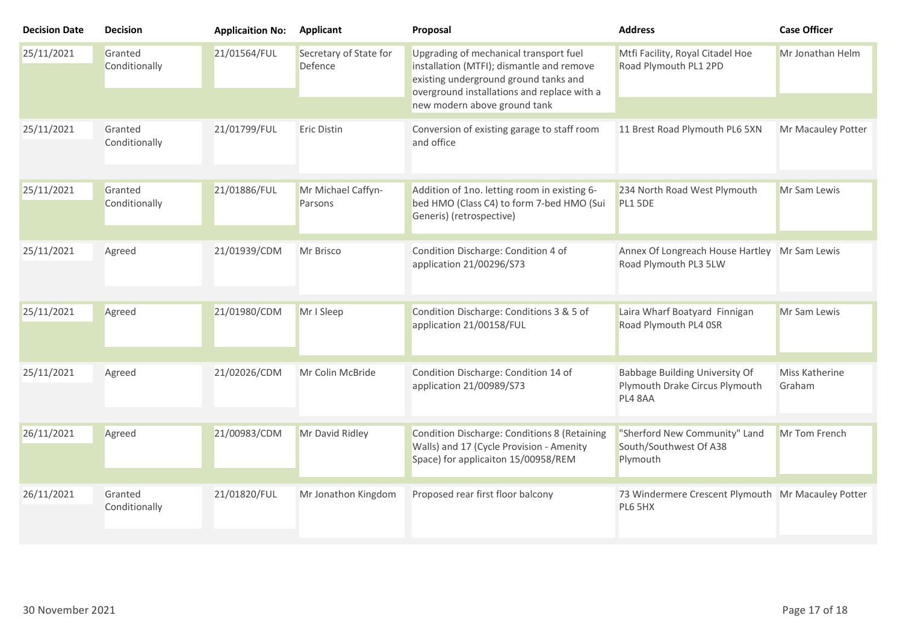| <b>Decision Date</b> | <b>Decision</b>          | <b>Applicaition No:</b> | Applicant                         | Proposal                                                                                                                                                                                                    | <b>Address</b>                                                              | <b>Case Officer</b>      |
|----------------------|--------------------------|-------------------------|-----------------------------------|-------------------------------------------------------------------------------------------------------------------------------------------------------------------------------------------------------------|-----------------------------------------------------------------------------|--------------------------|
| 25/11/2021           | Granted<br>Conditionally | 21/01564/FUL            | Secretary of State for<br>Defence | Upgrading of mechanical transport fuel<br>installation (MTFI); dismantle and remove<br>existing underground ground tanks and<br>overground installations and replace with a<br>new modern above ground tank | Mtfi Facility, Royal Citadel Hoe<br>Road Plymouth PL1 2PD                   | Mr Jonathan Helm         |
| 25/11/2021           | Granted<br>Conditionally | 21/01799/FUL            | Eric Distin                       | Conversion of existing garage to staff room<br>and office                                                                                                                                                   | 11 Brest Road Plymouth PL6 5XN                                              | Mr Macauley Potter       |
| 25/11/2021           | Granted<br>Conditionally | 21/01886/FUL            | Mr Michael Caffyn-<br>Parsons     | Addition of 1no. letting room in existing 6-<br>bed HMO (Class C4) to form 7-bed HMO (Sui<br>Generis) (retrospective)                                                                                       | 234 North Road West Plymouth<br>PL1 5DE                                     | Mr Sam Lewis             |
| 25/11/2021           | Agreed                   | 21/01939/CDM            | Mr Brisco                         | Condition Discharge: Condition 4 of<br>application 21/00296/S73                                                                                                                                             | Annex Of Longreach House Hartley Mr Sam Lewis<br>Road Plymouth PL3 5LW      |                          |
| 25/11/2021           | Agreed                   | 21/01980/CDM            | Mr I Sleep                        | Condition Discharge: Conditions 3 & 5 of<br>application 21/00158/FUL                                                                                                                                        | Laira Wharf Boatyard Finnigan<br>Road Plymouth PL4 OSR                      | Mr Sam Lewis             |
| 25/11/2021           | Agreed                   | 21/02026/CDM            | Mr Colin McBride                  | Condition Discharge: Condition 14 of<br>application 21/00989/S73                                                                                                                                            | Babbage Building University Of<br>Plymouth Drake Circus Plymouth<br>PL4 8AA | Miss Katherine<br>Graham |
| 26/11/2021           | Agreed                   | 21/00983/CDM            | Mr David Ridley                   | Condition Discharge: Conditions 8 (Retaining<br>Walls) and 17 (Cycle Provision - Amenity<br>Space) for applicaiton 15/00958/REM                                                                             | "Sherford New Community" Land<br>South/Southwest Of A38<br>Plymouth         | Mr Tom French            |
| 26/11/2021           | Granted<br>Conditionally | 21/01820/FUL            | Mr Jonathon Kingdom               | Proposed rear first floor balcony                                                                                                                                                                           | 73 Windermere Crescent Plymouth Mr Macauley Potter<br>PL6 5HX               |                          |